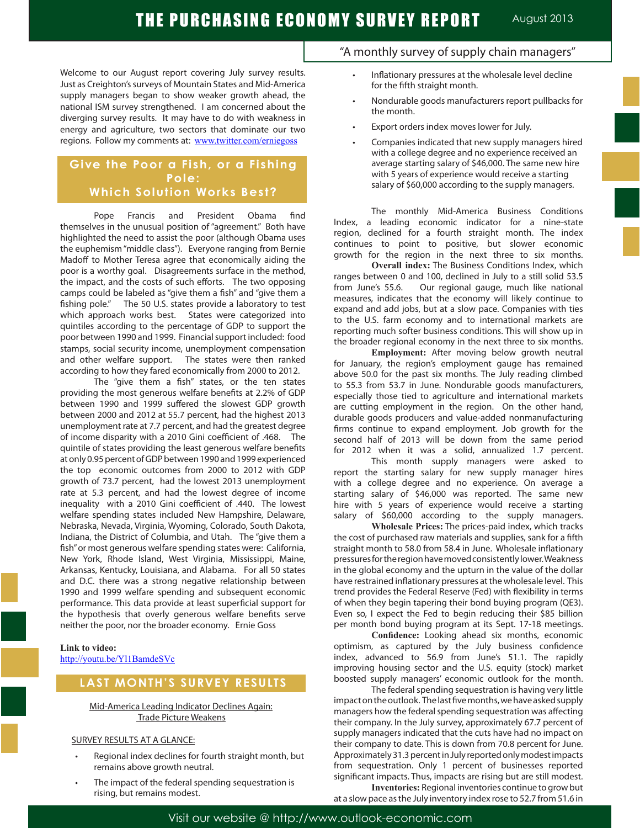Welcome to our August report covering July survey results. Just as Creighton's surveys of Mountain States and Mid-America supply managers began to show weaker growth ahead, the national ISM survey strengthened. I am concerned about the diverging survey results. It may have to do with weakness in energy and agriculture, two sectors that dominate our two regions. Follow my comments at: www.twitter.com/erniegoss

## **Give the Poor a Fish, or a Fishing Pole: Which Solution Works Best?**

Pope Francis and President Obama find themselves in the unusual position of "agreement." Both have highlighted the need to assist the poor (although Obama uses the euphemism "middle class"). Everyone ranging from Bernie Madoff to Mother Teresa agree that economically aiding the poor is a worthy goal. Disagreements surface in the method, the impact, and the costs of such efforts. The two opposing camps could be labeled as "give them a fish" and "give them a fishing pole." The 50 U.S. states provide a laboratory to test which approach works best. States were categorized into quintiles according to the percentage of GDP to support the poor between 1990 and 1999. Financial support included: food stamps, social security income, unemployment compensation and other welfare support. The states were then ranked according to how they fared economically from 2000 to 2012.

The "give them a fish" states, or the ten states providing the most generous welfare benefits at 2.2% of GDP between 1990 and 1999 suffered the slowest GDP growth between 2000 and 2012 at 55.7 percent, had the highest 2013 unemployment rate at 7.7 percent, and had the greatest degree of income disparity with a 2010 Gini coefficient of .468. The quintile of states providing the least generous welfare benefits at only 0.95 percent of GDP between 1990 and 1999 experienced the top economic outcomes from 2000 to 2012 with GDP growth of 73.7 percent, had the lowest 2013 unemployment rate at 5.3 percent, and had the lowest degree of income inequality with a 2010 Gini coefficient of .440. The lowest welfare spending states included New Hampshire, Delaware, Nebraska, Nevada, Virginia, Wyoming, Colorado, South Dakota, Indiana, the District of Columbia, and Utah. The "give them a fish" or most generous welfare spending states were: California, New York, Rhode Island, West Virginia, Mississippi, Maine, Arkansas, Kentucky, Louisiana, and Alabama. For all 50 states and D.C. there was a strong negative relationship between 1990 and 1999 welfare spending and subsequent economic performance. This data provide at least superficial support for the hypothesis that overly generous welfare benefits serve neither the poor, nor the broader economy. Ernie Goss

**Link to video:** http://youtu.be/Yl1BamdeSVc

### **LAST MONTH'S SURVEY RESULTS**

#### Mid-America Leading Indicator Declines Again: Trade Picture Weakens

#### SURVEY RESULTS AT A GLANCE:

- Regional index declines for fourth straight month, but remains above growth neutral.
- The impact of the federal spending sequestration is rising, but remains modest.

### "A monthly survey of supply chain managers"

- Inflationary pressures at the wholesale level decline for the fifth straight month.
- Nondurable goods manufacturers report pullbacks for the month.
- Export orders index moves lower for July.
- Companies indicated that new supply managers hired with a college degree and no experience received an average starting salary of \$46,000. The same new hire with 5 years of experience would receive a starting salary of \$60,000 according to the supply managers.

The monthly Mid-America Business Conditions Index, a leading economic indicator for a nine-state region, declined for a fourth straight month. The index continues to point to positive, but slower economic growth for the region in the next three to six months.

**Overall index:** The Business Conditions Index, which ranges between 0 and 100, declined in July to a still solid 53.5 from June's 55.6. Our regional gauge, much like national measures, indicates that the economy will likely continue to expand and add jobs, but at a slow pace. Companies with ties to the U.S. farm economy and to international markets are reporting much softer business conditions. This will show up in the broader regional economy in the next three to six months.

**Employment:** After moving below growth neutral for January, the region's employment gauge has remained above 50.0 for the past six months. The July reading climbed to 55.3 from 53.7 in June. Nondurable goods manufacturers, especially those tied to agriculture and international markets are cutting employment in the region. On the other hand, durable goods producers and value-added nonmanufacturing firms continue to expand employment. Job growth for the second half of 2013 will be down from the same period for 2012 when it was a solid, annualized 1.7 percent.

This month supply managers were asked to report the starting salary for new supply manager hires with a college degree and no experience. On average a starting salary of \$46,000 was reported. The same new hire with 5 years of experience would receive a starting salary of \$60,000 according to the supply managers.

**Wholesale Prices:** The prices-paid index, which tracks the cost of purchased raw materials and supplies, sank for a fifth straight month to 58.0 from 58.4 in June. Wholesale inflationary pressures for the region have moved consistently lower. Weakness in the global economy and the upturn in the value of the dollar have restrained inflationary pressures at the wholesale level. This trend provides the Federal Reserve (Fed) with flexibility in terms of when they begin tapering their bond buying program (QE3). Even so, I expect the Fed to begin reducing their \$85 billion per month bond buying program at its Sept. 17-18 meetings.

**Confidence:** Looking ahead six months, economic optimism, as captured by the July business confidence index, advanced to 56.9 from June's 51.1. The rapidly improving housing sector and the U.S. equity (stock) market boosted supply managers' economic outlook for the month.

The federal spending sequestration is having very little impact on the outlook. The last five months, we have asked supply managers how the federal spending sequestration was affecting their company. In the July survey, approximately 67.7 percent of supply managers indicated that the cuts have had no impact on their company to date. This is down from 70.8 percent for June. Approximately 31.3 percent in July reported only modest impacts from sequestration. Only 1 percent of businesses reported significant impacts. Thus, impacts are rising but are still modest. **Inventories:** Regional inventories continue to grow but

at a slow pace as the July inventory index rose to 52.7 from 51.6 in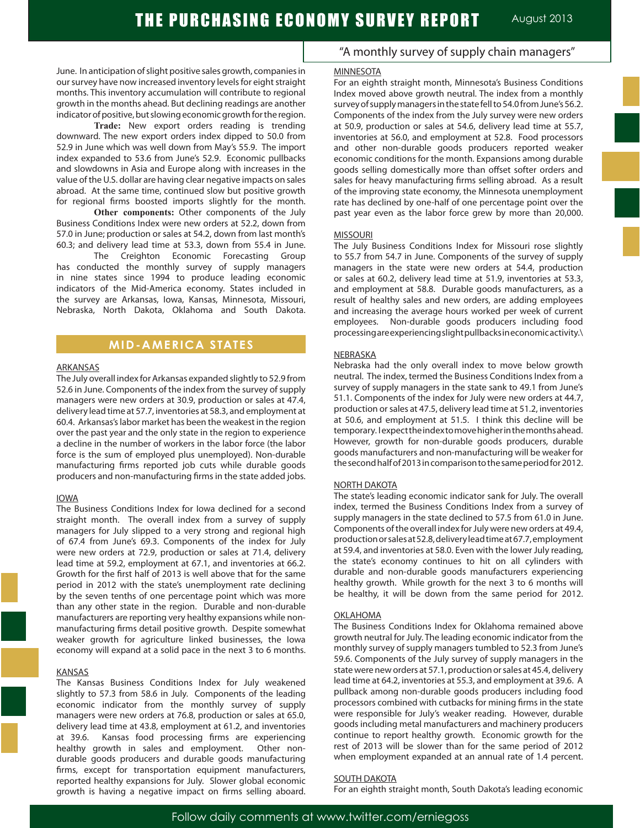June. In anticipation of slight positive sales growth, companies in our survey have now increased inventory levels for eight straight months. This inventory accumulation will contribute to regional growth in the months ahead. But declining readings are another indicator of positive, but slowing economic growth for the region.

**Trade:** New export orders reading is trending downward. The new export orders index dipped to 50.0 from 52.9 in June which was well down from May's 55.9. The import index expanded to 53.6 from June's 52.9. Economic pullbacks and slowdowns in Asia and Europe along with increases in the value of the U.S. dollar are having clear negative impacts on sales abroad. At the same time, continued slow but positive growth for regional firms boosted imports slightly for the month.

**Other components:** Other components of the July Business Conditions Index were new orders at 52.2, down from 57.0 in June; production or sales at 54.2, down from last month's 60.3; and delivery lead time at 53.3, down from 55.4 in June.

The Creighton Economic Forecasting Group has conducted the monthly survey of supply managers in nine states since 1994 to produce leading economic indicators of the Mid-America economy. States included in the survey are Arkansas, Iowa, Kansas, Minnesota, Missouri, Nebraska, North Dakota, Oklahoma and South Dakota.

### **MID-AMERICA STATES**

#### ARKANSAS

The July overall index for Arkansas expanded slightly to 52.9 from 52.6 in June. Components of the index from the survey of supply managers were new orders at 30.9, production or sales at 47.4, delivery lead time at 57.7, inventories at 58.3, and employment at 60.4. Arkansas's labor market has been the weakest in the region over the past year and the only state in the region to experience a decline in the number of workers in the labor force (the labor force is the sum of employed plus unemployed). Non-durable manufacturing firms reported job cuts while durable goods producers and non-manufacturing firms in the state added jobs.

#### IOWA

The Business Conditions Index for Iowa declined for a second straight month. The overall index from a survey of supply managers for July slipped to a very strong and regional high of 67.4 from June's 69.3. Components of the index for July were new orders at 72.9, production or sales at 71.4, delivery lead time at 59.2, employment at 67.1, and inventories at 66.2. Growth for the first half of 2013 is well above that for the same period in 2012 with the state's unemployment rate declining by the seven tenths of one percentage point which was more than any other state in the region. Durable and non-durable manufacturers are reporting very healthy expansions while nonmanufacturing firms detail positive growth. Despite somewhat weaker growth for agriculture linked businesses, the Iowa economy will expand at a solid pace in the next 3 to 6 months.

#### KANSAS

The Kansas Business Conditions Index for July weakened slightly to 57.3 from 58.6 in July. Components of the leading economic indicator from the monthly survey of supply managers were new orders at 76.8, production or sales at 65.0, delivery lead time at 43.8, employment at 61.2, and inventories at 39.6. Kansas food processing firms are experiencing healthy growth in sales and employment. Other nondurable goods producers and durable goods manufacturing firms, except for transportation equipment manufacturers, reported healthy expansions for July. Slower global economic growth is having a negative impact on firms selling aboard.

### "A monthly survey of supply chain managers"

#### **MINNESOTA**

For an eighth straight month, Minnesota's Business Conditions Index moved above growth neutral. The index from a monthly survey of supply managers in the state fell to 54.0 from June's 56.2. Components of the index from the July survey were new orders at 50.9, production or sales at 54.6, delivery lead time at 55.7, inventories at 56.0, and employment at 52.8. Food processors and other non-durable goods producers reported weaker economic conditions for the month. Expansions among durable goods selling domestically more than offset softer orders and sales for heavy manufacturing firms selling abroad. As a result of the improving state economy, the Minnesota unemployment rate has declined by one-half of one percentage point over the past year even as the labor force grew by more than 20,000.

#### MISSOURI

The July Business Conditions Index for Missouri rose slightly to 55.7 from 54.7 in June. Components of the survey of supply managers in the state were new orders at 54.4, production or sales at 60.2, delivery lead time at 51.9, inventories at 53.3, and employment at 58.8. Durable goods manufacturers, as a result of healthy sales and new orders, are adding employees and increasing the average hours worked per week of current employees. Non-durable goods producers including food processing are experiencing slight pullbacks in economic activity.\

#### NEBRASKA

Nebraska had the only overall index to move below growth neutral. The index, termed the Business Conditions Index from a survey of supply managers in the state sank to 49.1 from June's 51.1. Components of the index for July were new orders at 44.7, production or sales at 47.5, delivery lead time at 51.2, inventories at 50.6, and employment at 51.5. I think this decline will be temporary. I expect the index to move higher in the months ahead. However, growth for non-durable goods producers, durable goods manufacturers and non-manufacturing will be weaker for the second half of 2013 in comparison to the same period for 2012.

#### NORTH DAKOTA

The state's leading economic indicator sank for July. The overall index, termed the Business Conditions Index from a survey of supply managers in the state declined to 57.5 from 61.0 in June. Components of the overall index for July were new orders at 49.4, production or sales at 52.8, delivery lead time at 67.7, employment at 59.4, and inventories at 58.0. Even with the lower July reading, the state's economy continues to hit on all cylinders with durable and non-durable goods manufacturers experiencing healthy growth. While growth for the next 3 to 6 months will be healthy, it will be down from the same period for 2012.

#### OKLAHOMA

The Business Conditions Index for Oklahoma remained above growth neutral for July. The leading economic indicator from the monthly survey of supply managers tumbled to 52.3 from June's 59.6. Components of the July survey of supply managers in the state were new orders at 57.1, production or sales at 45.4, delivery lead time at 64.2, inventories at 55.3, and employment at 39.6. A pullback among non-durable goods producers including food processors combined with cutbacks for mining firms in the state were responsible for July's weaker reading. However, durable goods including metal manufacturers and machinery producers continue to report healthy growth. Economic growth for the rest of 2013 will be slower than for the same period of 2012 when employment expanded at an annual rate of 1.4 percent.

#### SOUTH DAKOTA

For an eighth straight month, South Dakota's leading economic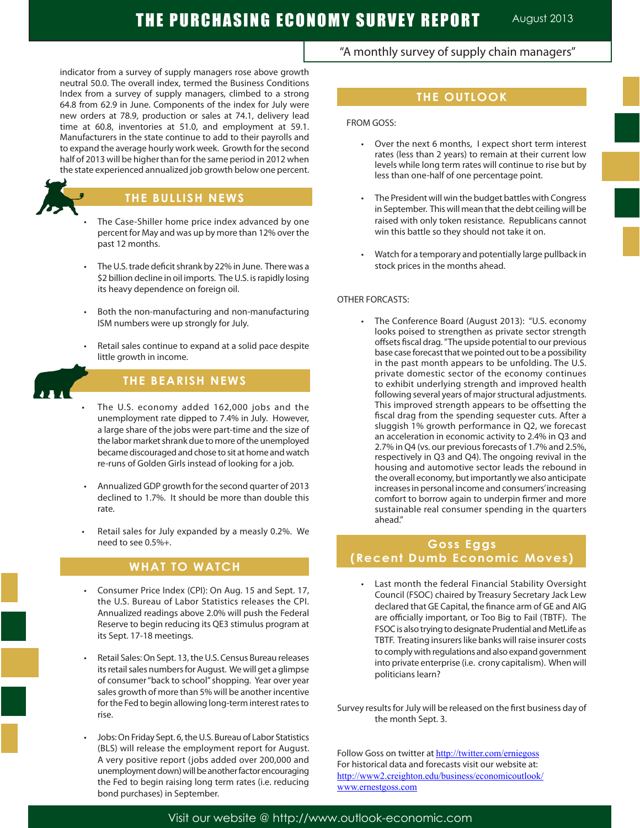# THE PURCHASING ECONOMY SURVEY REPORT August 2013

indicator from a survey of supply managers rose above growth neutral 50.0. The overall index, termed the Business Conditions Index from a survey of supply managers, climbed to a strong 64.8 from 62.9 in June. Components of the index for July were new orders at 78.9, production or sales at 74.1, delivery lead time at 60.8, inventories at 51.0, and employment at 59.1. Manufacturers in the state continue to add to their payrolls and to expand the average hourly work week. Growth for the second half of 2013 will be higher than for the same period in 2012 when the state experienced annualized job growth below one percent.



### **THE BULLISH NEWS**

- The Case-Shiller home price index advanced by one percent for May and was up by more than 12% over the past 12 months.
- The U.S. trade deficit shrank by 22% in June. There was a \$2 billion decline in oil imports. The U.S. is rapidly losing its heavy dependence on foreign oil.
- Both the non-manufacturing and non-manufacturing ISM numbers were up strongly for July.
- Retail sales continue to expand at a solid pace despite little growth in income.



Ĩ

# **THE BEARISH NEWS**

- The U.S. economy added 162,000 jobs and the unemployment rate dipped to 7.4% in July. However, a large share of the jobs were part-time and the size of the labor market shrank due to more of the unemployed became discouraged and chose to sit at home and watch re-runs of Golden Girls instead of looking for a job.
- Annualized GDP growth for the second quarter of 2013 declined to 1.7%. It should be more than double this rate.
- Retail sales for July expanded by a measly 0.2%. We need to see 0.5%+.

# **WHAT TO WATCH**

- Consumer Price Index (CPI): On Aug. 15 and Sept. 17, the U.S. Bureau of Labor Statistics releases the CPI. Annualized readings above 2.0% will push the Federal Reserve to begin reducing its QE3 stimulus program at its Sept. 17-18 meetings.
- Retail Sales: On Sept. 13, the U.S. Census Bureau releases its retail sales numbers for August. We will get a glimpse of consumer "back to school" shopping. Year over year sales growth of more than 5% will be another incentive for the Fed to begin allowing long-term interest rates to rise.
- Jobs: On Friday Sept. 6, the U.S. Bureau of Labor Statistics (BLS) will release the employment report for August. A very positive report (jobs added over 200,000 and unemployment down) will be another factor encouraging the Fed to begin raising long term rates (i.e. reducing bond purchases) in September.

### "A monthly survey of supply chain managers"

# **THE OUTLOOK**

FROM GOSS:

- • Over the next 6 months, I expect short term interest rates (less than 2 years) to remain at their current low levels while long term rates will continue to rise but by less than one-half of one percentage point.
- The President will win the budget battles with Congress in September. This will mean that the debt ceiling will be raised with only token resistance. Republicans cannot win this battle so they should not take it on.
- Watch for a temporary and potentially large pullback in stock prices in the months ahead.

#### OTHER FORCASTS:

 • The Conference Board (August 2013): "U.S. economy looks poised to strengthen as private sector strength offsets fiscal drag. " The upside potential to our previous base case forecast that we pointed out to be a possibility in the past month appears to be unfolding. The U.S. private domestic sector of the economy continues to exhibit underlying strength and improved health following several years of major structural adjustments. This improved strength appears to be offsetting the fiscal drag from the spending sequester cuts. After a sluggish 1% growth performance in Q2, we forecast an acceleration in economic activity to 2.4% in Q3 and 2.7% in Q4 (vs. our previous forecasts of 1.7% and 2.5%, respectively in Q3 and Q4). The ongoing revival in the housing and automotive sector leads the rebound in the overall economy, but importantly we also anticipate increases in personal income and consumers' increasing comfort to borrow again to underpin firmer and more sustainable real consumer spending in the quarters ahead."

# **Goss Eggs (Recent Dumb Economic Moves)**

- Last month the federal Financial Stability Oversight Council (FSOC) chaired by Treasury Secretary Jack Lew declared that GE Capital, the finance arm of GE and AIG are officially important, or Too Big to Fail (TBTF). The FSOC is also trying to designate Prudential and MetLife as TBTF. Treating insurers like banks will raise insurer costs to comply with regulations and also expand government into private enterprise (i.e. crony capitalism). When will politicians learn?
- Survey results for July will be released on the first business day of the month Sept. 3.

Follow Goss on twitter at http://twitter.com/erniegoss For historical data and forecasts visit our website at: http://www2.creighton.edu/business/economicoutlook/ www.ernestgoss.com

Visit our website @ http://www.outlook-economic.com